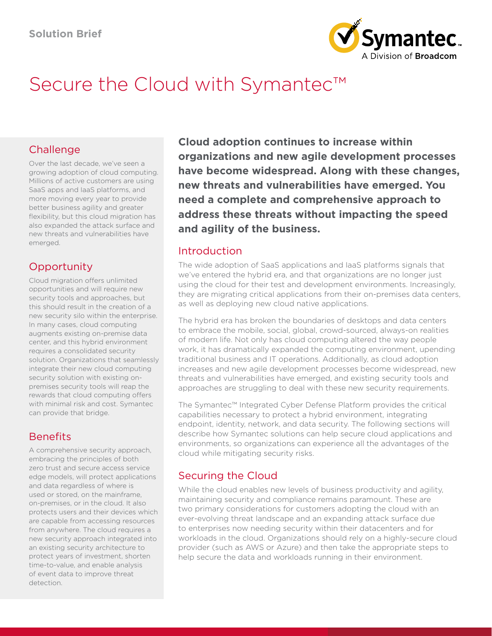

# Secure the Cloud with Symantec™

# Challenge

Over the last decade, we've seen a growing adoption of cloud computing. Millions of active customers are using SaaS apps and IaaS platforms, and more moving every year to provide better business agility and greater flexibility, but this cloud migration has also expanded the attack surface and new threats and vulnerabilities have emerged.

# **Opportunity**

Cloud migration offers unlimited opportunities and will require new security tools and approaches, but this should result in the creation of a new security silo within the enterprise. In many cases, cloud computing augments existing on-premise data center, and this hybrid environment requires a consolidated security solution. Organizations that seamlessly integrate their new cloud computing security solution with existing onpremises security tools will reap the rewards that cloud computing offers with minimal risk and cost. Symantec can provide that bridge.

# Benefits

A comprehensive security approach, embracing the principles of both zero trust and secure access service edge models, will protect applications and data regardless of where is used or stored, on the mainframe, on-premises, or in the cloud. It also protects users and their devices which are capable from accessing resources from anywhere. The cloud requires a new security approach integrated into an existing security architecture to protect years of investment, shorten time-to-value, and enable analysis of event data to improve threat detection.

**Cloud adoption continues to increase within organizations and new agile development processes have become widespread. Along with these changes, new threats and vulnerabilities have emerged. You need a complete and comprehensive approach to address these threats without impacting the speed and agility of the business.**

## Introduction

The wide adoption of SaaS applications and IaaS platforms signals that we've entered the hybrid era, and that organizations are no longer just using the cloud for their test and development environments. Increasingly, they are migrating critical applications from their on-premises data centers, as well as deploying new cloud native applications.

The hybrid era has broken the boundaries of desktops and data centers to embrace the mobile, social, global, crowd-sourced, always-on realities of modern life. Not only has cloud computing altered the way people work, it has dramatically expanded the computing environment, upending traditional business and IT operations. Additionally, as cloud adoption increases and new agile development processes become widespread, new threats and vulnerabilities have emerged, and existing security tools and approaches are struggling to deal with these new security requirements.

The Symantec™ Integrated Cyber Defense Platform provides the critical capabilities necessary to protect a hybrid environment, integrating endpoint, identity, network, and data security. The following sections will describe how Symantec solutions can help secure cloud applications and environments, so organizations can experience all the advantages of the cloud while mitigating security risks.

# Securing the Cloud

While the cloud enables new levels of business productivity and agility, maintaining security and compliance remains paramount. These are two primary considerations for customers adopting the cloud with an ever-evolving threat landscape and an expanding attack surface due to enterprises now needing security within their datacenters and for workloads in the cloud. Organizations should rely on a highly-secure cloud provider (such as AWS or Azure) and then take the appropriate steps to help secure the data and workloads running in their environment.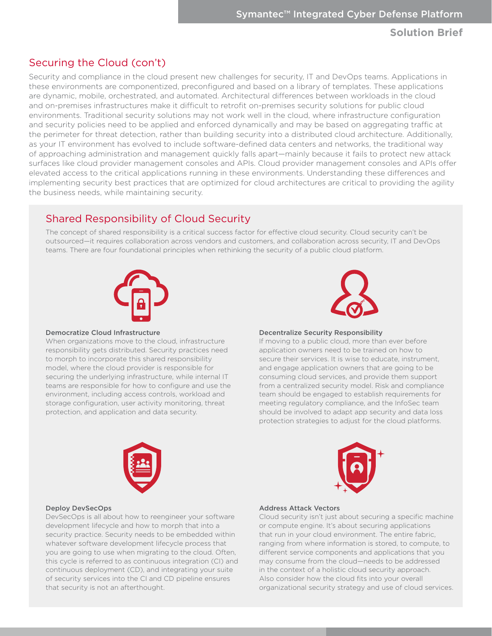## Securing the Cloud (con't)

Security and compliance in the cloud present new challenges for security, IT and DevOps teams. Applications in these environments are componentized, preconfigured and based on a library of templates. These applications are dynamic, mobile, orchestrated, and automated. Architectural differences between workloads in the cloud and on-premises infrastructures make it difficult to retrofit on-premises security solutions for public cloud environments. Traditional security solutions may not work well in the cloud, where infrastructure configuration and security policies need to be applied and enforced dynamically and may be based on aggregating traffic at the perimeter for threat detection, rather than building security into a distributed cloud architecture. Additionally, as your IT environment has evolved to include software-defined data centers and networks, the traditional way of approaching administration and management quickly falls apart—mainly because it fails to protect new attack surfaces like cloud provider management consoles and APIs. Cloud provider management consoles and APIs offer elevated access to the critical applications running in these environments. Understanding these differences and implementing security best practices that are optimized for cloud architectures are critical to providing the agility the business needs, while maintaining security.

## Shared Responsibility of Cloud Security

The concept of shared responsibility is a critical success factor for effective cloud security. Cloud security can't be outsourced—it requires collaboration across vendors and customers, and collaboration across security, IT and DevOps teams. There are four foundational principles when rethinking the security of a public cloud platform.





#### Democratize Cloud Infrastructure

When organizations move to the cloud, infrastructure responsibility gets distributed. Security practices need to morph to incorporate this shared responsibility model, where the cloud provider is responsible for securing the underlying infrastructure, while internal IT teams are responsible for how to configure and use the environment, including access controls, workload and storage configuration, user activity monitoring, threat protection, and application and data security.

#### Decentralize Security Responsibility

If moving to a public cloud, more than ever before application owners need to be trained on how to secure their services. It is wise to educate, instrument, and engage application owners that are going to be consuming cloud services, and provide them support from a centralized security model. Risk and compliance team should be engaged to establish requirements for meeting regulatory compliance, and the InfoSec team should be involved to adapt app security and data loss protection strategies to adjust for the cloud platforms.





#### Deploy DevSecOps

DevSecOps is all about how to reengineer your software development lifecycle and how to morph that into a security practice. Security needs to be embedded within whatever software development lifecycle process that you are going to use when migrating to the cloud. Often, this cycle is referred to as continuous integration (CI) and continuous deployment (CD), and integrating your suite of security services into the CI and CD pipeline ensures that security is not an afterthought.

#### Address Attack Vectors

Cloud security isn't just about securing a specific machine or compute engine. It's about securing applications that run in your cloud environment. The entire fabric, ranging from where information is stored, to compute, to different service components and applications that you may consume from the cloud—needs to be addressed in the context of a holistic cloud security approach. Also consider how the cloud fits into your overall organizational security strategy and use of cloud services.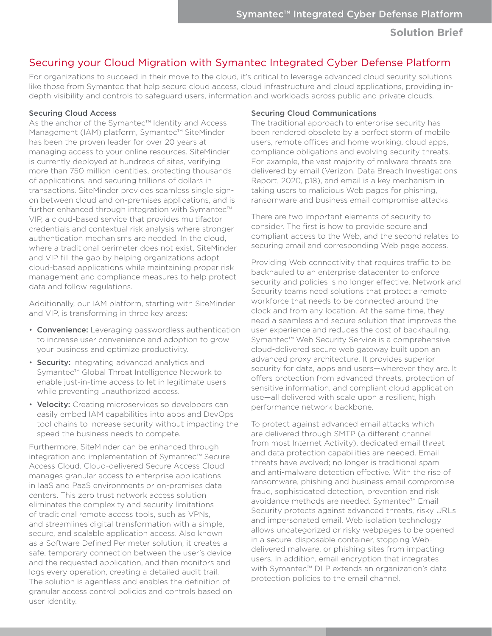## Securing your Cloud Migration with Symantec Integrated Cyber Defense Platform

For organizations to succeed in their move to the cloud, it's critical to leverage advanced cloud security solutions like those from Symantec that help secure cloud access, cloud infrastructure and cloud applications, providing indepth visibility and controls to safeguard users, information and workloads across public and private clouds.

#### Securing Cloud Access

As the anchor of the Symantec™ Identity and Access Management (IAM) platform, Symantec™ SiteMinder has been the proven leader for over 20 years at managing access to your online resources. SiteMinder is currently deployed at hundreds of sites, verifying more than 750 million identities, protecting thousands of applications, and securing trillions of dollars in transactions. SiteMinder provides seamless single signon between cloud and on-premises applications, and is further enhanced through integration with Symantec™ VIP, a cloud-based service that provides multifactor credentials and contextual risk analysis where stronger authentication mechanisms are needed. In the cloud, where a traditional perimeter does not exist, SiteMinder and VIP fill the gap by helping organizations adopt cloud-based applications while maintaining proper risk management and compliance measures to help protect data and follow regulations.

Additionally, our IAM platform, starting with SiteMinder and VIP, is transforming in three key areas:

- Convenience: Leveraging passwordless authentication to increase user convenience and adoption to grow your business and optimize productivity.
- Security: Integrating advanced analytics and Symantec™ Global Threat Intelligence Network to enable just-in-time access to let in legitimate users while preventing unauthorized access.
- Velocity: Creating microservices so developers can easily embed IAM capabilities into apps and DevOps tool chains to increase security without impacting the speed the business needs to compete.

Furthermore, SiteMinder can be enhanced through integration and implementation of Symantec™ Secure Access Cloud. Cloud-delivered Secure Access Cloud manages granular access to enterprise applications in IaaS and PaaS environments or on-premises data centers. This zero trust network access solution eliminates the complexity and security limitations of traditional remote access tools, such as VPNs, and streamlines digital transformation with a simple, secure, and scalable application access. Also known as a Software Defined Perimeter solution, it creates a safe, temporary connection between the user's device and the requested application, and then monitors and logs every operation, creating a detailed audit trail. The solution is agentless and enables the definition of granular access control policies and controls based on user identity.

## Securing Cloud Communications

The traditional approach to enterprise security has been rendered obsolete by a perfect storm of mobile users, remote offices and home working, cloud apps, compliance obligations and evolving security threats. For example, the vast majority of malware threats are delivered by email (Verizon, Data Breach Investigations Report, 2020, p18), and email is a key mechanism in taking users to malicious Web pages for phishing, ransomware and business email compromise attacks.

There are two important elements of security to consider. The first is how to provide secure and compliant access to the Web, and the second relates to securing email and corresponding Web page access.

Providing Web connectivity that requires traffic to be backhauled to an enterprise datacenter to enforce security and policies is no longer effective. Network and Security teams need solutions that protect a remote workforce that needs to be connected around the clock and from any location. At the same time, they need a seamless and secure solution that improves the user experience and reduces the cost of backhauling. Symantec™ Web Security Service is a comprehensive cloud-delivered secure web gateway built upon an advanced proxy architecture. It provides superior security for data, apps and users—wherever they are. It offers protection from advanced threats, protection of sensitive information, and compliant cloud application use—all delivered with scale upon a resilient, high performance network backbone.

To protect against advanced email attacks which are delivered through SMTP (a different channel from most Internet Activity), dedicated email threat and data protection capabilities are needed. Email threats have evolved; no longer is traditional spam and anti-malware detection effective. With the rise of ransomware, phishing and business email compromise fraud, sophisticated detection, prevention and risk avoidance methods are needed. Symantec™ Email Security protects against advanced threats, risky URLs and impersonated email. Web isolation technology allows uncategorized or risky webpages to be opened in a secure, disposable container, stopping Webdelivered malware, or phishing sites from impacting users. In addition, email encryption that integrates with Symantec™ DLP extends an organization's data protection policies to the email channel.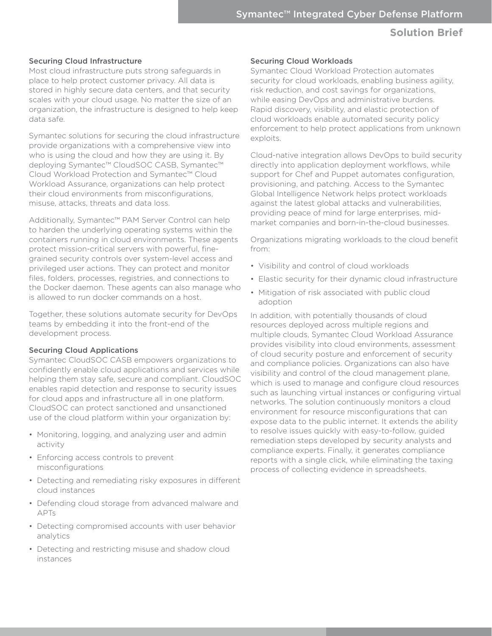#### Securing Cloud Infrastructure

Most cloud infrastructure puts strong safeguards in place to help protect customer privacy. All data is stored in highly secure data centers, and that security scales with your cloud usage. No matter the size of an organization, the infrastructure is designed to help keep data safe.

Symantec solutions for securing the cloud infrastructure provide organizations with a comprehensive view into who is using the cloud and how they are using it. By deploying Symantec™ CloudSOC CASB, Symantec™ Cloud Workload Protection and Symantec™ Cloud Workload Assurance, organizations can help protect their cloud environments from misconfigurations, misuse, attacks, threats and data loss.

Additionally, Symantec™ PAM Server Control can help to harden the underlying operating systems within the containers running in cloud environments. These agents protect mission-critical servers with powerful, finegrained security controls over system-level access and privileged user actions. They can protect and monitor files, folders, processes, registries, and connections to the Docker daemon. These agents can also manage who is allowed to run docker commands on a host.

Together, these solutions automate security for DevOps teams by embedding it into the front-end of the development process.

## Securing Cloud Applications

Symantec CloudSOC CASB empowers organizations to confidently enable cloud applications and services while helping them stay safe, secure and compliant. CloudSOC enables rapid detection and response to security issues for cloud apps and infrastructure all in one platform. CloudSOC can protect sanctioned and unsanctioned use of the cloud platform within your organization by:

- Monitoring, logging, and analyzing user and admin activity
- Enforcing access controls to prevent misconfigurations
- Detecting and remediating risky exposures in different cloud instances
- Defending cloud storage from advanced malware and APTs
- Detecting compromised accounts with user behavior analytics
- Detecting and restricting misuse and shadow cloud instances

#### Securing Cloud Workloads

Symantec Cloud Workload Protection automates security for cloud workloads, enabling business agility, risk reduction, and cost savings for organizations, while easing DevOps and administrative burdens. Rapid discovery, visibility, and elastic protection of cloud workloads enable automated security policy enforcement to help protect applications from unknown exploits.

Cloud-native integration allows DevOps to build security directly into application deployment workflows, while support for Chef and Puppet automates configuration, provisioning, and patching. Access to the Symantec Global Intelligence Network helps protect workloads against the latest global attacks and vulnerabilities, providing peace of mind for large enterprises, midmarket companies and born-in-the-cloud businesses.

Organizations migrating workloads to the cloud benefit from:

- Visibility and control of cloud workloads
- Elastic security for their dynamic cloud infrastructure
- Mitigation of risk associated with public cloud adoption

In addition, with potentially thousands of cloud resources deployed across multiple regions and multiple clouds, Symantec Cloud Workload Assurance provides visibility into cloud environments, assessment of cloud security posture and enforcement of security and compliance policies. Organizations can also have visibility and control of the cloud management plane, which is used to manage and configure cloud resources such as launching virtual instances or configuring virtual networks. The solution continuously monitors a cloud environment for resource misconfigurations that can expose data to the public internet. It extends the ability to resolve issues quickly with easy-to-follow, guided remediation steps developed by security analysts and compliance experts. Finally, it generates compliance reports with a single click, while eliminating the taxing process of collecting evidence in spreadsheets.